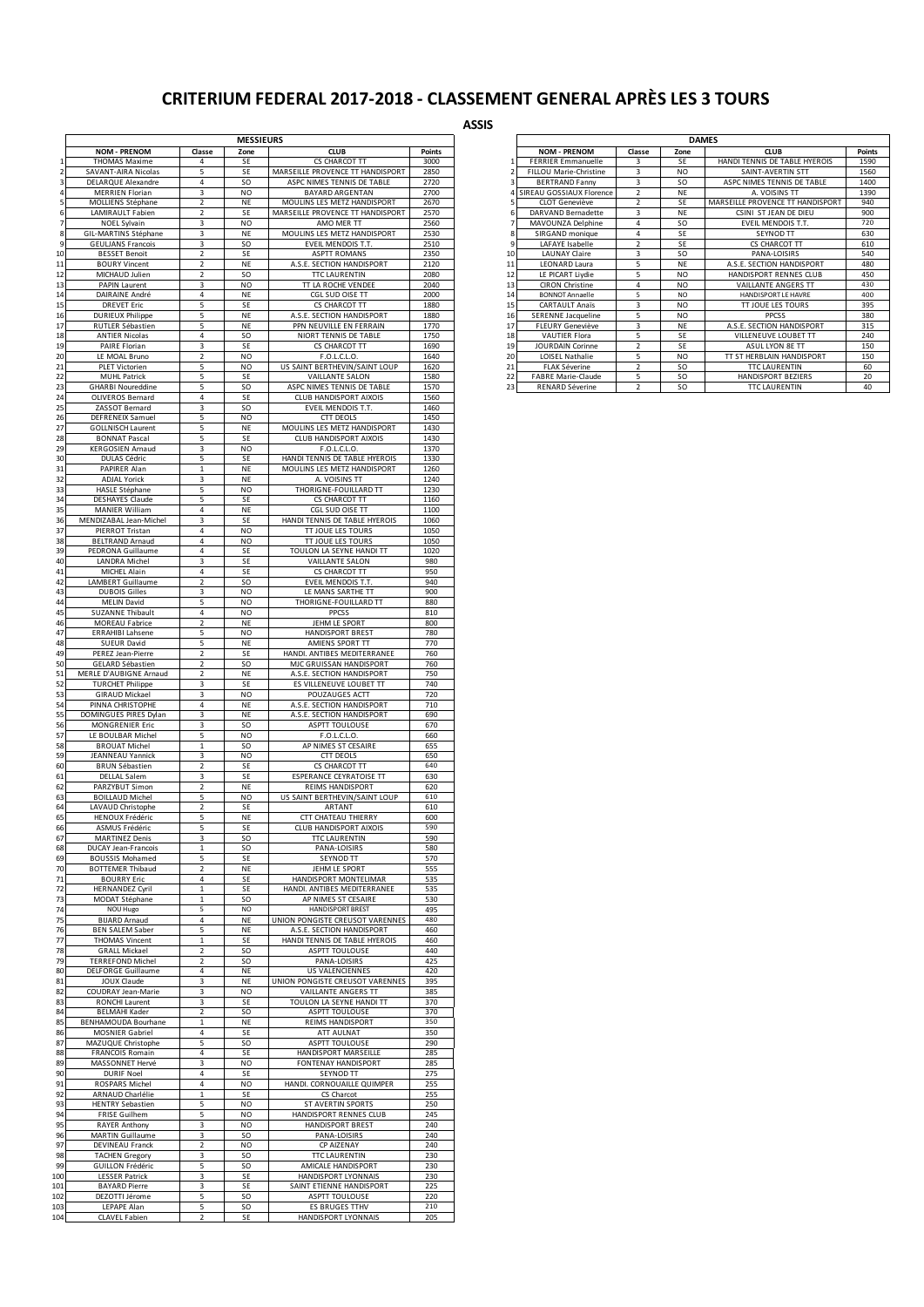## **CRITERIUM FEDERAL 2017-2018 - CLASSEMENT GENERAL APRÈS LES 3 TOURS**

**ASSIS**

|          |                                               |                              | <b>MESSIEURS</b> |                                                                |              |
|----------|-----------------------------------------------|------------------------------|------------------|----------------------------------------------------------------|--------------|
|          | <b>NOM - PRENOM</b>                           | Classe                       | Zone             | <b>CLUB</b>                                                    | Points       |
|          | <b>THOMAS Maxime</b>                          | $\overline{4}$               | SE               | CS CHARCOT TT                                                  | 3000         |
|          | SAVANT-AIRA Nicolas<br>DELARQUE Alexandre     | 5<br>4                       | SE<br>SO.        | MARSEILLE PROVENCE TT HANDISPORT<br>ASPC NIMES TENNIS DE TABLE | 2850<br>2720 |
|          | MERRIEN Florian                               | 3                            | NO               | <b>BAYARD ARGENTAN</b>                                         | 2700         |
|          | MOLLIENS Stéphane                             | $\overline{2}$               | NE               | MOULINS LES METZ HANDISPORT                                    | 2670         |
|          | LAMIRAULT Fabien                              | 2                            | SE               | MARSEILLE PROVENCE TT HANDISPORT                               | 2570         |
|          | NOEL Sylvain<br>GIL-MARTINS Stéphane          | 3<br>$\overline{\mathbf{3}}$ | <b>NO</b><br>NE  | AMO MER TT<br>MOULINS LES METZ HANDISPORT                      | 2560<br>2530 |
| 8<br>9   | <b>GEULIANS Francois</b>                      | 3                            | <b>SO</b>        | EVEIL MENDOIS T.T.                                             | 2510         |
| 10       | <b>BESSET Benoit</b>                          | $\overline{2}$               | SE               | <b>ASPTT ROMANS</b>                                            | 2350         |
| 11       | <b>BOURY Vincent</b>                          | 2                            | NE               | A.S.E. SECTION HANDISPORT                                      | 2120         |
| 12       | MICHAUD Julien                                | $\overline{2}$               | <b>SO</b>        | <b>TTC LAURENTIN</b>                                           | 2080         |
| 13       | PAPIN Laurent                                 | $\overline{\mathbf{3}}$      | NO               | TT LA ROCHE VENDEE                                             | 2040         |
| 14       | DAIRAINE André                                | 4                            | <b>NE</b>        | CGL SUD OISE TT                                                | 2000         |
| 15       | <b>DREVET Eric</b>                            | 5                            | SE               | CS CHARCOT TT                                                  | 1880<br>1880 |
| 16<br>17 | <b>DURIEUX Philippe</b><br>RUTLER Sébastien   | 5<br>5                       | NE<br>NE         | A.S.E. SECTION HANDISPORT<br>PPN NEUVILLE EN FERRAIN           | 1770         |
| 18       | <b>ANTIER Nicolas</b>                         | 4                            | <b>SO</b>        | NIORT TENNIS DE TABLE                                          | 1750         |
| 19       | PAIRE Florian                                 | 3                            | SE               | CS CHARCOT TT                                                  | 1690         |
| 20       | LE MOAL Bruno                                 | $\overline{2}$               | <b>NO</b>        | F.O.L.C.L.O.                                                   | 1640         |
| 21       | PLET Victorien                                | 5                            | NO               | US SAINT BERTHEVIN/SAINT LOUP                                  | 1620         |
| 22       | <b>MUHL Patrick</b>                           | 5                            | SE               | <b>VAILLANTE SALON</b>                                         | 1580         |
| 23       | <b>GHARBI Noureddine</b>                      | 5                            | SO.              | ASPC NIMES TENNIS DE TABLE                                     | 1570         |
| 24       | OLIVEROS Bernard                              | 4                            | SE               | CLUB HANDISPORT AIXOIS                                         | 1560         |
| 25       | ZASSOT Bernard                                | 3                            | <b>SO</b>        | EVEIL MENDOIS T.T.                                             | 1460         |
| 26       | DEFRENEIX Samuel                              | 5                            | NO               | <b>CTT DEOLS</b>                                               | 1450         |
| 27       | <b>GOLLNISCH Laurent</b>                      | 5                            | NE               | MOULINS LES METZ HANDISPORT                                    | 1430         |
| 28       | <b>BONNAT Pascal</b>                          | 5                            | SE               | <b>CLUB HANDISPORT AIXOIS</b>                                  | 1430         |
| 29       | <b>KERGOSIEN Arnaud</b>                       | 3                            | NO               | F.O.L.C.L.O.                                                   | 1370         |
| 30       | DULAS Cédric                                  | 5                            | SE               | HANDI TENNIS DE TABLE HYEROIS                                  | 1330         |
| 31       | PAPIRER Alan                                  | $\mathbf{1}$                 | NE               | MOULINS LES METZ HANDISPORT                                    | 1260         |
| 32       | <b>ADJAL Yorick</b>                           | 3                            | NE               | A. VOISINS TT                                                  | 1240         |
| 33       | HASLE Stéphane                                | 5                            | NO               | THORIGNE-FOUILLARD TT                                          | 1230         |
| 34       | <b>DESHAYES Claude</b>                        | 5                            | SE               | CS CHARCOT TT                                                  | 1160         |
| 35       | MANIER William                                | 4                            | NE               | CGL SUD OISE TT                                                | 1100         |
| 36       | MENDIZABAL Jean-Michel                        | 3                            | SE               | HANDI TENNIS DE TABLE HYEROIS                                  | 1060         |
| 37<br>38 | PIERROT Tristan<br><b>BELTRAND Arnaud</b>     | 4<br>4                       | <b>NO</b><br>NO  | TT JOUE LES TOURS<br>TT JOUE LES TOURS                         | 1050<br>1050 |
| 39       | PEDRONA Guillaume                             | 4                            | SE               | TOULON LA SEYNE HANDI TT                                       | 1020         |
| 40       | <b>LANDRA Michel</b>                          | $\overline{\mathbf{3}}$      | SE               | <b>VAILLANTE SALON</b>                                         | 980          |
| 41       | MICHEL Alain                                  | $\overline{4}$               | SE               | CS CHARCOT TT                                                  | 950          |
| 42       | <b>LAMBERT Guillaume</b>                      | $\overline{2}$               | <b>SO</b>        | EVEIL MENDOIS T.T.                                             | 940          |
| 43       | <b>DUBOIS Gilles</b>                          | 3                            | NO               | LE MANS SARTHE TT                                              | 900          |
| 44       | <b>MELIN David</b>                            | 5                            | NO               | THORIGNE-FOUILLARD TT                                          | 880          |
| 45       | <b>SUZANNE Thibault</b>                       | 4                            | NO               | PPCSS                                                          | 810          |
| 46       | MOREAU Fabrice                                | 2                            | NE               | JEHM LE SPORT                                                  | 800          |
| 47       | <b>ERRAHIBI Lahsene</b>                       | 5                            | <b>NO</b>        | <b>HANDISPORT BREST</b>                                        | 780          |
| 48       | SUEUR David                                   | 5                            | NE               | AMIENS SPORT TT                                                | 770          |
| 49       | PEREZ Jean-Pierre                             | $\overline{2}$               | SE               | HANDI. ANTIBES MEDITERRANEE                                    | 760          |
| 50       | GELARD Sébastien                              | $\overline{2}$               | <b>SO</b>        | MJC GRUISSAN HANDISPORT                                        | 760          |
| 51       | MERLE D'AUBIGNE Arnaud                        | $\overline{2}$               | NE               | A.S.E. SECTION HANDISPORT                                      | 750          |
| 52       | <b>TURCHET Philippe</b>                       | 3                            | SE               | ES VILLENEUVE LOUBET TT                                        | 740          |
| 53       | <b>GIRAUD Mickael</b>                         | 3                            | NO               | POUZAUGES ACTT                                                 | 720          |
| 54       | PINNA CHRISTOPHE                              | 4                            | NE               | A.S.E. SECTION HANDISPORT                                      | 710          |
| 55       | DOMINGUES PIRES Dylan                         | 3                            | NE               | A.S.E. SECTION HANDISPORT                                      | 690          |
| 56       | MONGRENIER Eric                               | 3                            | SO.              | ASPTT TOULOUSE                                                 | 670          |
| 57       | LE BOULBAR Michel                             | 5                            | <b>NO</b>        | F.O.L.C.L.O.                                                   | 660          |
| 58       | <b>BROUAT Michel</b>                          | $\mathbf{1}$                 | SO               | AP NIMES ST CESAIRE                                            | 655          |
| 59       | JEANNEAU Yannick                              | 3                            | NO               | <b>CTT DEOLS</b>                                               | 650          |
| 60       | <b>BRUN Sébastien</b>                         | $\overline{2}$               | SE               | CS CHARCOT TT                                                  | 640          |
| 61       | <b>DELLAL Salem</b>                           | 3                            | SE               | ESPERANCE CEYRATOISE TT                                        | 630          |
| 62       | PARZYBUT Simon                                | $\overline{2}$               | NE               | <b>REIMS HANDISPORT</b>                                        | 620          |
| 63       | <b>BOILLAUD Michel</b>                        | 5                            | <b>NO</b>        | US SAINT BERTHEVIN/SAINT LOUP                                  | 610          |
| 64       | LAVAUD Christophe                             | $\overline{2}$               | SE               | ARTANT                                                         | 610          |
| 65       | HENOUX Frédéric                               | 5                            | NE               | CTT CHATEAU THIERRY                                            | 600          |
| 66       | ASMUS Frédéric                                |                              | SE               | <b>CLUB HANDISPORT AIXOIS</b>                                  | 590          |
| 67       | <b>MARTINEZ Denis</b>                         | 3                            | so               | <b>TTC LAURENTIN</b>                                           | 590          |
| 68       | DUCAY Jean-Francois                           | $\mathbf{1}$                 | SO               | PANA-LOISIRS                                                   | 580          |
| 69<br>70 | <b>BOUSSIS Mohamed</b>                        | 5<br>$\overline{2}$          | SE<br><b>NE</b>  | SEYNOD TT<br>JEHM LE SPORT                                     | 570          |
| 71       | <b>BOTTEMER Thibaud</b><br><b>BOURRY Eric</b> | 4                            | SE               | HANDISPORT MONTELIMAR                                          | 555<br>535   |
| 72       | <b>HERNANDEZ Cyril</b>                        | $\mathbf{1}$                 | SE               | HANDI. ANTIBES MEDITERRANEE                                    | 535          |
| 73       | MODAT Stéphane                                | $\mathbf{1}$                 | SO               | AP NIMES ST CESAIRE                                            | 530          |
| 74       | NOU Hugo                                      | 5                            | NO               | <b>HANDISPORT BREST</b>                                        | 495          |
| 75       | <b>BIJARD Arnaud</b>                          | 4                            | NE               | UNION PONGISTE CREUSOT VARENNES                                | 480          |
| 76       | <b>BEN SALEM Saber</b>                        | 5                            | NE               | A.S.E. SECTION HANDISPORT                                      | 460          |
| 77       | <b>THOMAS Vincent</b>                         | $\mathbf{1}$                 | SE               | HANDI TENNIS DE TABLE HYEROIS                                  | 460          |
| 78       | <b>GRALL Mickael</b>                          | $\overline{2}$               | SO               | <b>ASPTT TOULOUSE</b>                                          | 440          |
| 79       | <b>TERREFOND Michel</b>                       | $\overline{a}$               | <b>SO</b>        | PANA-LOISIRS                                                   | 425          |
| 80       | <b>DELFORGE Guillaume</b>                     | 4                            | <b>NE</b>        | US VALENCIENNES                                                | 420          |
| 81       | JOUX Claude                                   | 3                            | NE               | UNION PONGISTE CREUSOT VARENNES                                | 395          |
| 82       | COUDRAY Jean-Marie                            | 3                            | NO               | <b>VAILLANTE ANGERS TT</b>                                     | 385          |
| 83       | RONCHI Laurent                                | 3                            | SE               | TOULON LA SEYNE HANDI TT                                       | 370          |
| 84       | <b>BELMAHI Kader</b>                          | $\overline{a}$               | SO               | <b>ASPTT TOULOUSE</b>                                          | 370          |
| 85       | BENHAMOUDA Bourhane                           | $\mathbf{1}$                 | NE               | REIMS HANDISPORT                                               | 350          |
| 86       | MOSNIER Gabriel                               | 4                            | SE               | ATT AULNAT                                                     | 350          |
| 87       | MAZUQUE Christophe                            | 5                            | so               | <b>ASPTT TOULOUSE</b>                                          | 290          |
| 88       | <b>FRANCOIS Romain</b>                        | 4                            | SE               | HANDISPORT MARSEILLE                                           | 285          |
| 89       | MASSONNET Hervé                               | 3                            | NO               | FONTENAY HANDISPORT                                            | 285          |
| 90       | <b>DURIF Noel</b>                             | 4                            | SE               | SEYNOD TT                                                      | 275          |
| 91       | ROSPARS Michel                                | 4                            | NO               | HANDI. CORNOUAILLE QUIMPER                                     | 255          |
| 92       | ARNAUD Charlélie                              | $\mathbf{1}$                 | SE               | CS Charcot                                                     | 255          |
| 93       | <b>HENTRY Sebastien</b>                       | 5                            | <b>NO</b>        | ST AVERTIN SPORTS                                              | 250          |
| 94       | FRISE Guilhem                                 | 5                            | NO               | HANDISPORT RENNES CLUB                                         | 245          |
| 95       | <b>RAYER Anthony</b>                          | 3                            | <b>NO</b>        | <b>HANDISPORT BREST</b>                                        | 240          |
| 96       | <b>MARTIN Guillaume</b>                       | 3                            | SO.              | PANA-LOISIRS                                                   | 240          |
| 97       | DEVINEAU Franck                               | $\overline{2}$               | NO               | CP AIZENAY                                                     | 240          |
| 98       | <b>TACHEN Gregory</b>                         | $\overline{\mathbf{3}}$      | SO               | <b>TTC LAURENTIN</b>                                           | 230          |
| 99       | <b>GUILLON Frédéric</b>                       | 5                            | SO.              | AMICALE HANDISPORT                                             | 230          |
| 100      | <b>LESSER Patrick</b>                         | 3                            | SE               | HANDISPORT LYONNAIS                                            | 230          |
| 101      | <b>BAYARD Pierre</b>                          | 3                            | SE               | SAINT ETIENNE HANDISPORT                                       | 225          |
| 102      | DEZOTTI Jérome                                | 5                            | <b>SO</b>        | <b>ASPTT TOULOUSE</b>                                          | 220          |
| 103      | LEPAPE Alan                                   | 5                            | SO               | ES BRUGES TTHV                                                 | 210          |
| 104      | CLAVEL Fabien                                 | $\overline{2}$               | SE               | HANDISPORT LYONNAIS                                            | 205          |

|                          | <b>DAMES</b>              |                          |                |                                  |               |  |  |  |  |
|--------------------------|---------------------------|--------------------------|----------------|----------------------------------|---------------|--|--|--|--|
|                          | <b>NOM - PRENOM</b>       | Classe                   | Zone           | <b>CLUB</b>                      | <b>Points</b> |  |  |  |  |
| 1                        | <b>FERRIER Emmanuelle</b> | 3                        | SF             | HANDI TENNIS DE TABLE HYEROIS    | 1590          |  |  |  |  |
| $\overline{\phantom{a}}$ | FILLOU Marie-Christine    | 3                        | N <sub>O</sub> | SAINT-AVERTIN STT                | 1560          |  |  |  |  |
| 3                        | <b>BERTRAND Fanny</b>     | 3                        | SO.            | ASPC NIMES TENNIS DE TABLE       | 1400          |  |  |  |  |
| 4                        | SIREAU GOSSIAUX Florence  | $\overline{2}$           | <b>NF</b>      | A. VOISINS TT                    | 1390          |  |  |  |  |
| 5                        | CLOT Geneviève            | $\overline{2}$           | <b>SE</b>      | MARSEILLE PROVENCE TT HANDISPORT | 940           |  |  |  |  |
| 6                        | DARVAND Bernadette        | 3                        | <b>NE</b>      | CSINI ST JEAN DE DIEU            | 900           |  |  |  |  |
| 7                        | MAVOUNZA Delphine         | 4                        | SO.            | EVEIL MENDOIS T.T.               | 720           |  |  |  |  |
| 8                        | SIRGAND monique           | 4                        | SE             | SEYNOD TT                        | 630           |  |  |  |  |
| 9                        | LAFAYE Isabelle           | $\overline{2}$           | <b>SE</b>      | <b>CS CHARCOT TT</b>             | 610           |  |  |  |  |
| 10                       | <b>LAUNAY Claire</b>      | 3                        | <b>SO</b>      | PANA-LOISIRS                     | 540           |  |  |  |  |
| 11                       | <b>LEONARD Laura</b>      | 5                        | NF             | A.S.F. SECTION HANDISPORT        | 480           |  |  |  |  |
| 12                       | LE PICART Liydie          | 5                        | N <sub>O</sub> | HANDISPORT RENNES CLUB           | 450           |  |  |  |  |
| 13                       | <b>CIRON Christine</b>    | 4                        | N <sub>O</sub> | <b>VAILLANTE ANGERS TT</b>       | 430           |  |  |  |  |
| 14                       | <b>BONNOT Annaelle</b>    | 5                        | N <sub>O</sub> | HANDISPORT LE HAVRE              | 400           |  |  |  |  |
| 15                       | <b>CARTAULT Anaïs</b>     | 3                        | N <sub>O</sub> | TT JOUE LES TOURS                | 395           |  |  |  |  |
| 16                       | SERENNE Jacqueline        | 5                        | N <sub>O</sub> | <b>PPCSS</b>                     | 380           |  |  |  |  |
| 17                       | <b>FLEURY Geneviève</b>   | 3                        | NF             | A.S.E. SECTION HANDISPORT        | 315           |  |  |  |  |
| 18                       | <b>VAUTIER Flora</b>      | 5                        | SF             | VILLENEUVE LOUBET TT             | 240           |  |  |  |  |
| 19                       | <b>JOURDAIN Corinne</b>   | $\overline{\phantom{a}}$ | SF             | ASUL LYON 8E TT                  | 150           |  |  |  |  |
| 20                       | <b>LOISEL Nathalie</b>    | 5                        | N <sub>O</sub> | TT ST HERBLAIN HANDISPORT        | 150           |  |  |  |  |
| 21                       | <b>FLAK Séverine</b>      | $\mathfrak{p}$           | SO             | <b>TTC LAURENTIN</b>             | 60            |  |  |  |  |
| 22                       | <b>FABRE Marie-Claude</b> | 5                        | SO.            | HANDISPORT BEZIERS               | 20            |  |  |  |  |
| 23                       | RENARD Séverine           | $\overline{2}$           | SO.            | <b>TTC LAURENTIN</b>             | 40            |  |  |  |  |